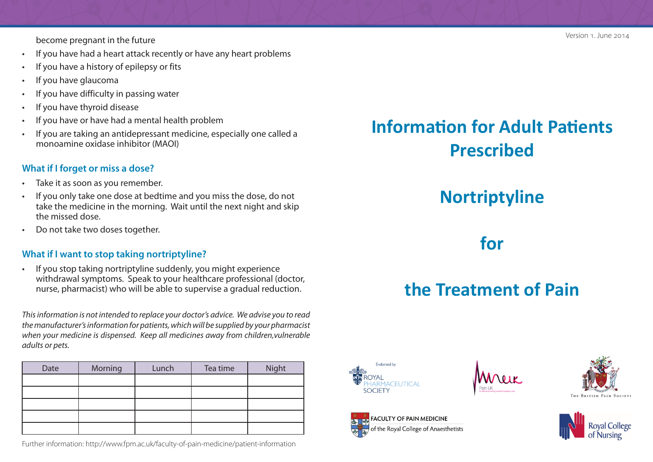become pregnant in the future

- If you have had a heart attack recently or have any heart problems
- If you have a history of epilepsy or fits
- If you have glaucoma
- If you have difficulty in passing water
- If you have thyroid disease
- If you have or have had a mental health problem
- If you are taking an antidepressant medicine, especially one called a monoamine oxidase inhibitor (MAOI)

#### **What if I forget or miss a dose?**

- Take it as soon as you remember.
- If you only take one dose at bedtime and you miss the dose, do not take the medicine in the morning. Wait until the next night and skip the missed dose.
- Do not take two doses together.

#### **What if I want to stop taking nortriptyline?**

• If you stop taking nortriptyline suddenly, you might experience withdrawal symptoms. Speak to your healthcare professional (doctor, nurse, pharmacist) who will be able to supervise a gradual reduction.

*This information is not intended to replace your doctor's advice. We advise you to read the manufacturer's information for patients, which will be supplied by your pharmacist when your medicine is dispensed. Keep all medicines away from children,vulnerable adults or pets.*

| Date | Morning | Lunch | Tea time | Night |
|------|---------|-------|----------|-------|
|      |         |       |          |       |
|      |         |       |          |       |
|      |         |       |          |       |
|      |         |       |          |       |
|      |         |       |          |       |

Further information: http://www.fpm.ac.uk/faculty-of-pain-medicine/patient-information

# **Information for Adult Patients Prescribed**

## **Nortriptyline**

### **for**

# **the Treatment of Pain**



FACULTY OF PAIN MEDICINE of the Royal College of Anaesthetists